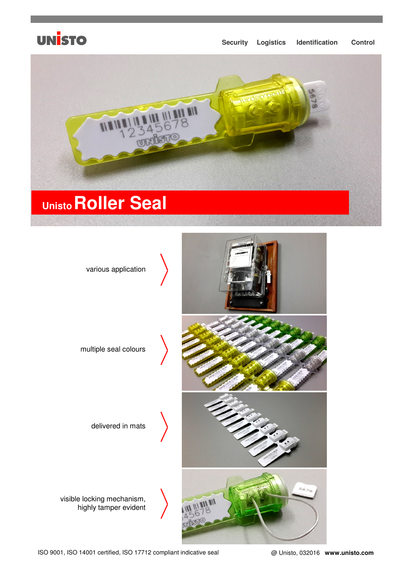## **UNISTO**

### **Security Logistics Identification Control**



# **UnistoRoller Seal**